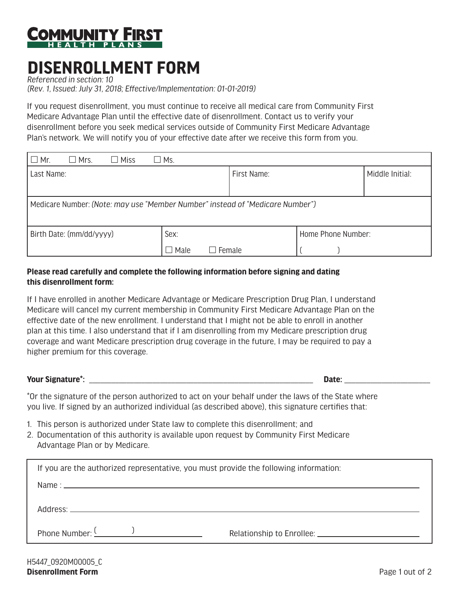

## **DISENROLLMENT FORM**

*Referenced in section: 10 (Rev. 1, Issued: July 31, 2018; Effective/Implementation: 01-01-2019)*

If you request disenrollment, you must continue to receive all medical care from Community First Medicare Advantage Plan until the effective date of disenrollment. Contact us to verify your disenrollment before you seek medical services outside of Community First Medicare Advantage Plan's network. We will notify you of your effective date after we receive this form from you.

| $\Box$ Mr.<br>$\Box$ Mrs.<br>$\Box$ Miss                                      | $\square$ Ms.                |             |                    |                 |  |  |
|-------------------------------------------------------------------------------|------------------------------|-------------|--------------------|-----------------|--|--|
| Last Name:                                                                    |                              | First Name: |                    | Middle Initial: |  |  |
|                                                                               |                              |             |                    |                 |  |  |
| Medicare Number: (Note: may use "Member Number" instead of "Medicare Number") |                              |             |                    |                 |  |  |
| Birth Date: (mm/dd/yyyy)                                                      | Sex:                         |             | Home Phone Number: |                 |  |  |
|                                                                               | $\Box$ Male<br>$\Box$ Female |             |                    |                 |  |  |

## **Please read carefully and complete the following information before signing and dating this disenrollment form:**

If I have enrolled in another Medicare Advantage or Medicare Prescription Drug Plan, I understand Medicare will cancel my current membership in Community First Medicare Advantage Plan on the effective date of the new enrollment. I understand that I might not be able to enroll in another plan at this time. I also understand that if I am disenrolling from my Medicare prescription drug coverage and want Medicare prescription drug coverage in the future, I may be required to pay a higher premium for this coverage.

## **Your Signature\*: Letter and Controller and Controller and Controller and Controller and Controller and Controller and Controller and Controller and Controller and Controller and Controller and Controller and Controller**

\*Or the signature of the person authorized to act on your behalf under the laws of the State where you live. If signed by an authorized individual (as described above), this signature certifies that:

- 1. This person is authorized under State law to complete this disenrollment; and
- 2. Documentation of this authority is available upon request by Community First Medicare Advantage Plan or by Medicare.

| If you are the authorized representative, you must provide the following information: |  |  |  |  |
|---------------------------------------------------------------------------------------|--|--|--|--|
| Name: $\frac{1}{2}$                                                                   |  |  |  |  |
|                                                                                       |  |  |  |  |
| Phone Number: $\frac{( )}{( ) }$                                                      |  |  |  |  |